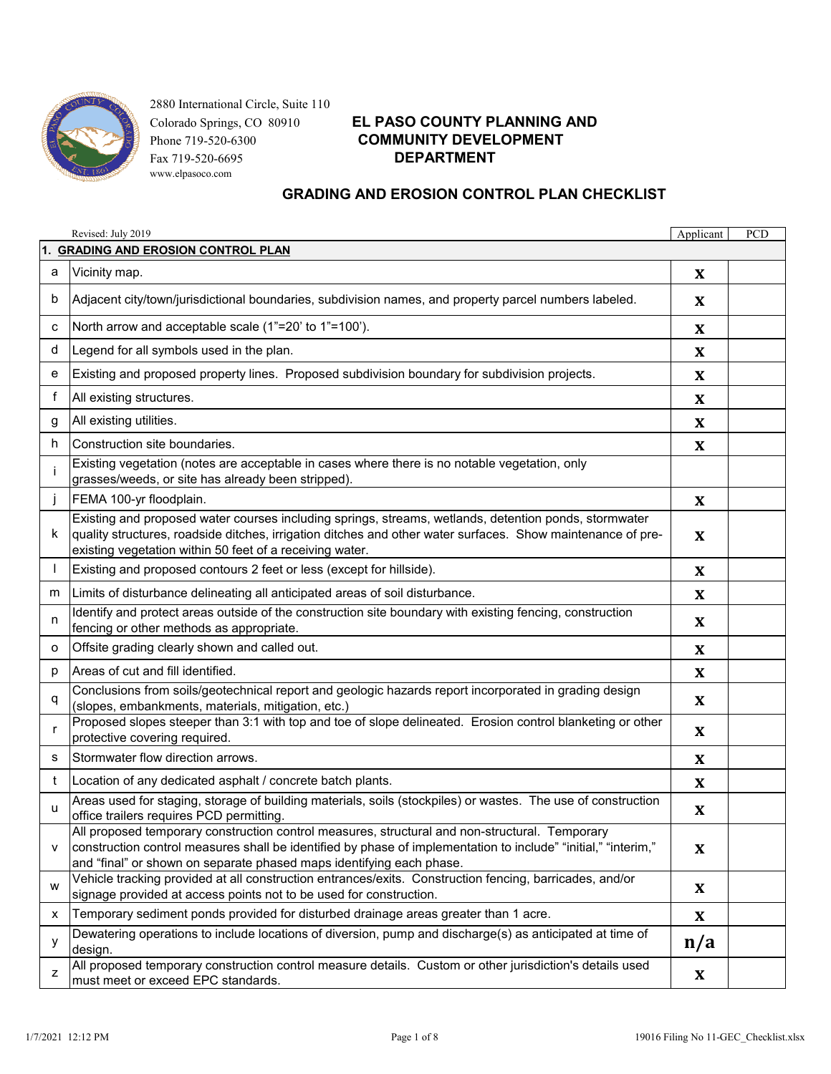

# Colorado Springs, CO 80910 **EL PASO COUNTY PLANNING AND** Phone 719-520-6300 **COMMUNITY DEVELOPMENT**

|   | Revised: July 2019                                                                                                                                                                                                                                                                       | Applicant                 | PCD |  |  |
|---|------------------------------------------------------------------------------------------------------------------------------------------------------------------------------------------------------------------------------------------------------------------------------------------|---------------------------|-----|--|--|
|   | 1. GRADING AND EROSION CONTROL PLAN                                                                                                                                                                                                                                                      |                           |     |  |  |
| a | Vicinity map.                                                                                                                                                                                                                                                                            | X                         |     |  |  |
| b | Adjacent city/town/jurisdictional boundaries, subdivision names, and property parcel numbers labeled.                                                                                                                                                                                    | X                         |     |  |  |
| с | North arrow and acceptable scale (1"=20' to 1"=100').                                                                                                                                                                                                                                    | X                         |     |  |  |
| d | Legend for all symbols used in the plan.                                                                                                                                                                                                                                                 | X                         |     |  |  |
| е | Existing and proposed property lines. Proposed subdivision boundary for subdivision projects.                                                                                                                                                                                            | X                         |     |  |  |
| f | All existing structures.                                                                                                                                                                                                                                                                 | X                         |     |  |  |
| g | All existing utilities.                                                                                                                                                                                                                                                                  | X                         |     |  |  |
| h | Construction site boundaries.                                                                                                                                                                                                                                                            | X                         |     |  |  |
|   | Existing vegetation (notes are acceptable in cases where there is no notable vegetation, only<br>grasses/weeds, or site has already been stripped).                                                                                                                                      |                           |     |  |  |
| j | FEMA 100-yr floodplain.                                                                                                                                                                                                                                                                  | X                         |     |  |  |
| ĸ | Existing and proposed water courses including springs, streams, wetlands, detention ponds, stormwater<br>quality structures, roadside ditches, irrigation ditches and other water surfaces. Show maintenance of pre-<br>existing vegetation within 50 feet of a receiving water.         | X                         |     |  |  |
|   | Existing and proposed contours 2 feet or less (except for hillside).                                                                                                                                                                                                                     | X                         |     |  |  |
| m | Limits of disturbance delineating all anticipated areas of soil disturbance.                                                                                                                                                                                                             | X                         |     |  |  |
| n | Identify and protect areas outside of the construction site boundary with existing fencing, construction<br>fencing or other methods as appropriate.                                                                                                                                     | X                         |     |  |  |
| o | Offsite grading clearly shown and called out.                                                                                                                                                                                                                                            | X                         |     |  |  |
| p | Areas of cut and fill identified.                                                                                                                                                                                                                                                        | X                         |     |  |  |
| q | Conclusions from soils/geotechnical report and geologic hazards report incorporated in grading design<br>(slopes, embankments, materials, mitigation, etc.)                                                                                                                              | X                         |     |  |  |
| r | Proposed slopes steeper than 3:1 with top and toe of slope delineated. Erosion control blanketing or other<br>protective covering required.                                                                                                                                              | X                         |     |  |  |
| s | Stormwater flow direction arrows.                                                                                                                                                                                                                                                        | X                         |     |  |  |
| t | Location of any dedicated asphalt / concrete batch plants.                                                                                                                                                                                                                               | X                         |     |  |  |
| u | Areas used for staging, storage of building materials, soils (stockpiles) or wastes. The use of construction<br>office trailers requires PCD permitting.                                                                                                                                 | X                         |     |  |  |
| V | All proposed temporary construction control measures, structural and non-structural. Temporary<br>construction control measures shall be identified by phase of implementation to include" "initial," "interim,"<br>and "final" or shown on separate phased maps identifying each phase. | $\boldsymbol{\mathrm{X}}$ |     |  |  |
| w | Vehicle tracking provided at all construction entrances/exits. Construction fencing, barricades, and/or<br>signage provided at access points not to be used for construction.                                                                                                            | $\mathbf{X}$              |     |  |  |
| х | Temporary sediment ponds provided for disturbed drainage areas greater than 1 acre.                                                                                                                                                                                                      | $\mathbf{X}$              |     |  |  |
| y | Dewatering operations to include locations of diversion, pump and discharge(s) as anticipated at time of<br>design.                                                                                                                                                                      | n/a                       |     |  |  |
| z | All proposed temporary construction control measure details. Custom or other jurisdiction's details used<br>must meet or exceed EPC standards.                                                                                                                                           | X                         |     |  |  |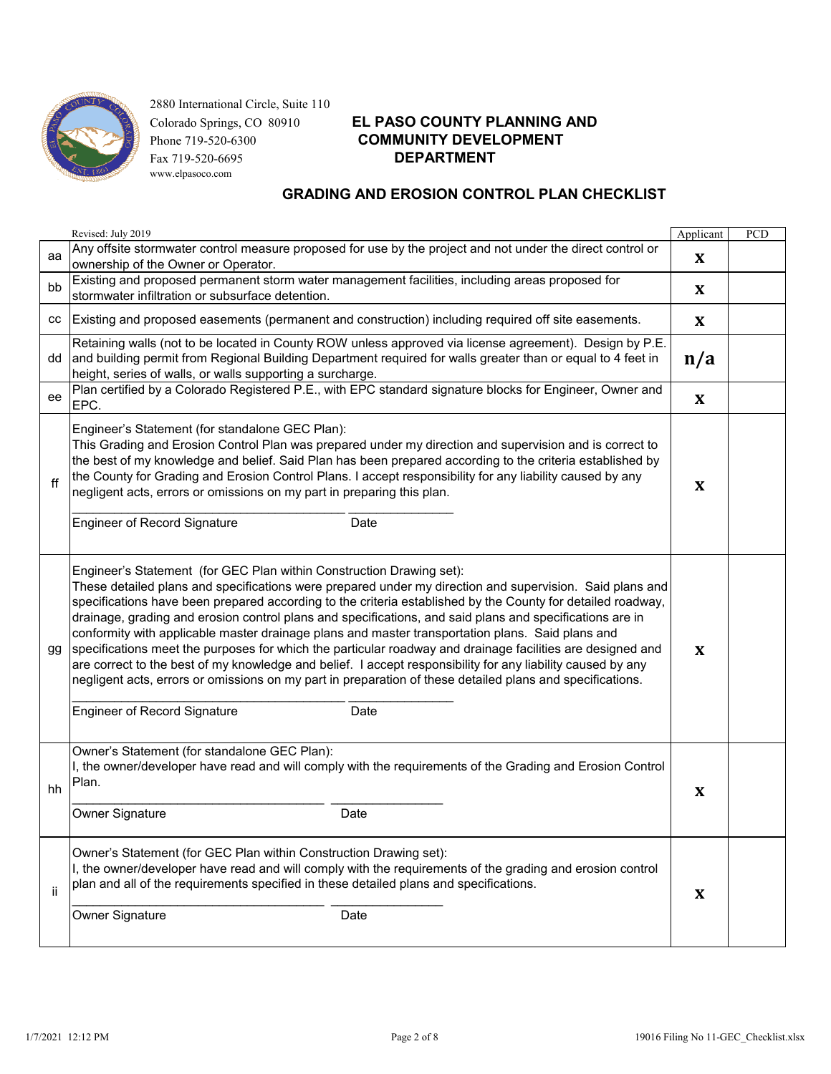

# Colorado Springs, CO 80910 **EL PASO COUNTY PLANNING AND** Phone 719-520-6300 **COMMUNITY DEVELOPMENT**

|    | Revised: July 2019                                                                                                                                                                                                                                                                                                                                                                                                                                                                                                                                                                                                                                                                                                                                                                                                                                                                                       | Applicant   | PCD |
|----|----------------------------------------------------------------------------------------------------------------------------------------------------------------------------------------------------------------------------------------------------------------------------------------------------------------------------------------------------------------------------------------------------------------------------------------------------------------------------------------------------------------------------------------------------------------------------------------------------------------------------------------------------------------------------------------------------------------------------------------------------------------------------------------------------------------------------------------------------------------------------------------------------------|-------------|-----|
| aa | Any offsite stormwater control measure proposed for use by the project and not under the direct control or<br>ownership of the Owner or Operator.                                                                                                                                                                                                                                                                                                                                                                                                                                                                                                                                                                                                                                                                                                                                                        | X           |     |
| bb | Existing and proposed permanent storm water management facilities, including areas proposed for<br>stormwater infiltration or subsurface detention.                                                                                                                                                                                                                                                                                                                                                                                                                                                                                                                                                                                                                                                                                                                                                      | X           |     |
| CС | Existing and proposed easements (permanent and construction) including required off site easements.                                                                                                                                                                                                                                                                                                                                                                                                                                                                                                                                                                                                                                                                                                                                                                                                      | $\mathbf x$ |     |
| dd | Retaining walls (not to be located in County ROW unless approved via license agreement). Design by P.E.<br>and building permit from Regional Building Department required for walls greater than or equal to 4 feet in<br>height, series of walls, or walls supporting a surcharge.                                                                                                                                                                                                                                                                                                                                                                                                                                                                                                                                                                                                                      | n/a         |     |
| ee | Plan certified by a Colorado Registered P.E., with EPC standard signature blocks for Engineer, Owner and<br>EPC.                                                                                                                                                                                                                                                                                                                                                                                                                                                                                                                                                                                                                                                                                                                                                                                         | X           |     |
| ff | Engineer's Statement (for standalone GEC Plan):<br>This Grading and Erosion Control Plan was prepared under my direction and supervision and is correct to<br>the best of my knowledge and belief. Said Plan has been prepared according to the criteria established by<br>the County for Grading and Erosion Control Plans. I accept responsibility for any liability caused by any<br>negligent acts, errors or omissions on my part in preparing this plan.<br><b>Engineer of Record Signature</b><br>Date                                                                                                                                                                                                                                                                                                                                                                                            | X           |     |
| gg | Engineer's Statement (for GEC Plan within Construction Drawing set):<br>These detailed plans and specifications were prepared under my direction and supervision. Said plans and<br>specifications have been prepared according to the criteria established by the County for detailed roadway,<br>drainage, grading and erosion control plans and specifications, and said plans and specifications are in<br>conformity with applicable master drainage plans and master transportation plans. Said plans and<br>specifications meet the purposes for which the particular roadway and drainage facilities are designed and<br>are correct to the best of my knowledge and belief. I accept responsibility for any liability caused by any<br>negligent acts, errors or omissions on my part in preparation of these detailed plans and specifications.<br><b>Engineer of Record Signature</b><br>Date | X           |     |
| hh | Owner's Statement (for standalone GEC Plan):<br>I, the owner/developer have read and will comply with the requirements of the Grading and Erosion Control<br>Plan.<br>Owner Signature<br>Date                                                                                                                                                                                                                                                                                                                                                                                                                                                                                                                                                                                                                                                                                                            | X           |     |
| ii | Owner's Statement (for GEC Plan within Construction Drawing set):<br>I, the owner/developer have read and will comply with the requirements of the grading and erosion control<br>plan and all of the requirements specified in these detailed plans and specifications.<br>Owner Signature<br>Date                                                                                                                                                                                                                                                                                                                                                                                                                                                                                                                                                                                                      | $\mathbf x$ |     |
|    |                                                                                                                                                                                                                                                                                                                                                                                                                                                                                                                                                                                                                                                                                                                                                                                                                                                                                                          |             |     |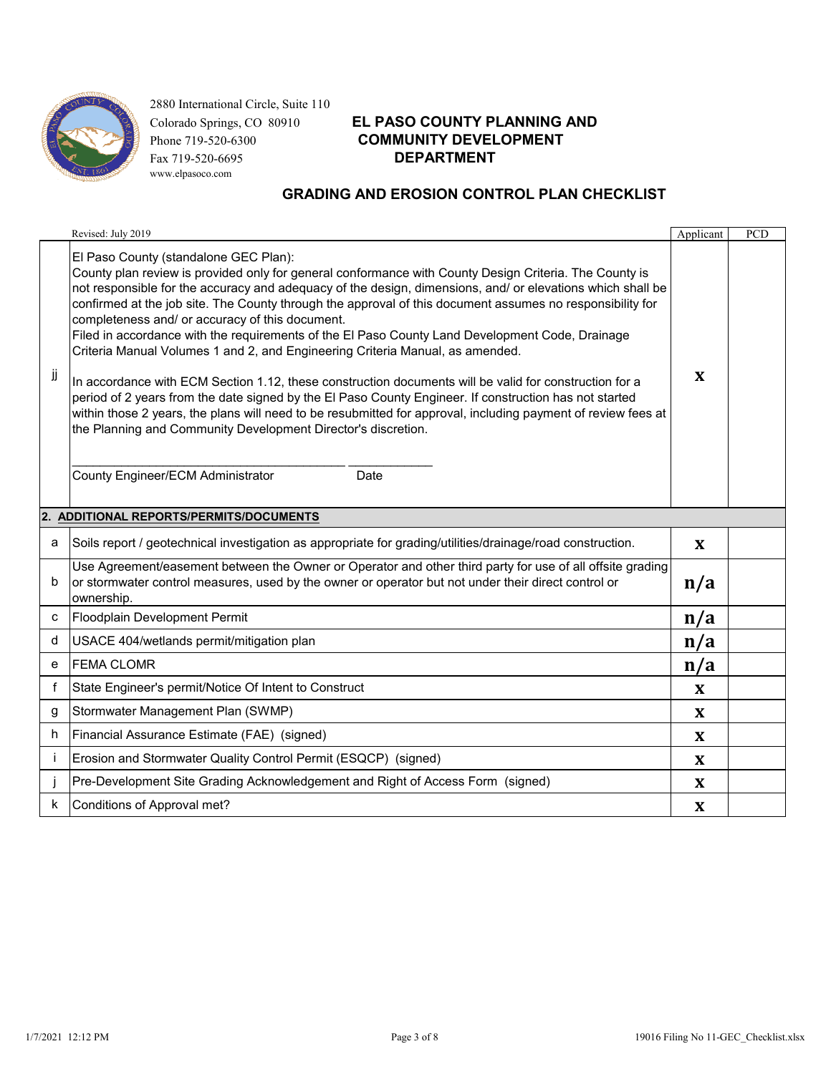

# Colorado Springs, CO 80910 **EL PASO COUNTY PLANNING AND** Phone 719-520-6300 **COMMUNITY DEVELOPMENT**

|    | Revised: July 2019                                                                                                                                                                                                                                                                                                                                                                                                                                                                                                                                                                                                                                                                                                                                                                                                                                                                                                                                                                                                                                                          | Applicant                 | PCD |
|----|-----------------------------------------------------------------------------------------------------------------------------------------------------------------------------------------------------------------------------------------------------------------------------------------------------------------------------------------------------------------------------------------------------------------------------------------------------------------------------------------------------------------------------------------------------------------------------------------------------------------------------------------------------------------------------------------------------------------------------------------------------------------------------------------------------------------------------------------------------------------------------------------------------------------------------------------------------------------------------------------------------------------------------------------------------------------------------|---------------------------|-----|
| jj | El Paso County (standalone GEC Plan):<br>County plan review is provided only for general conformance with County Design Criteria. The County is<br>not responsible for the accuracy and adequacy of the design, dimensions, and/ or elevations which shall be<br>confirmed at the job site. The County through the approval of this document assumes no responsibility for<br>completeness and/ or accuracy of this document.<br>Filed in accordance with the requirements of the El Paso County Land Development Code, Drainage<br>Criteria Manual Volumes 1 and 2, and Engineering Criteria Manual, as amended.<br>In accordance with ECM Section 1.12, these construction documents will be valid for construction for a<br>period of 2 years from the date signed by the El Paso County Engineer. If construction has not started<br>within those 2 years, the plans will need to be resubmitted for approval, including payment of review fees at<br>the Planning and Community Development Director's discretion.<br><b>County Engineer/ECM Administrator</b><br>Date | X                         |     |
|    | 2. ADDITIONAL REPORTS/PERMITS/DOCUMENTS                                                                                                                                                                                                                                                                                                                                                                                                                                                                                                                                                                                                                                                                                                                                                                                                                                                                                                                                                                                                                                     |                           |     |
| a  | Soils report / geotechnical investigation as appropriate for grading/utilities/drainage/road construction.                                                                                                                                                                                                                                                                                                                                                                                                                                                                                                                                                                                                                                                                                                                                                                                                                                                                                                                                                                  | X                         |     |
| b  | Use Agreement/easement between the Owner or Operator and other third party for use of all offsite grading<br>or stormwater control measures, used by the owner or operator but not under their direct control or<br>ownership.                                                                                                                                                                                                                                                                                                                                                                                                                                                                                                                                                                                                                                                                                                                                                                                                                                              | n/a                       |     |
| C  | Floodplain Development Permit                                                                                                                                                                                                                                                                                                                                                                                                                                                                                                                                                                                                                                                                                                                                                                                                                                                                                                                                                                                                                                               | n/a                       |     |
| d  | USACE 404/wetlands permit/mitigation plan                                                                                                                                                                                                                                                                                                                                                                                                                                                                                                                                                                                                                                                                                                                                                                                                                                                                                                                                                                                                                                   | n/a                       |     |
| е  | <b>FEMA CLOMR</b>                                                                                                                                                                                                                                                                                                                                                                                                                                                                                                                                                                                                                                                                                                                                                                                                                                                                                                                                                                                                                                                           | n/a                       |     |
| f  | State Engineer's permit/Notice Of Intent to Construct                                                                                                                                                                                                                                                                                                                                                                                                                                                                                                                                                                                                                                                                                                                                                                                                                                                                                                                                                                                                                       | $\mathbf X$               |     |
| g  | Stormwater Management Plan (SWMP)                                                                                                                                                                                                                                                                                                                                                                                                                                                                                                                                                                                                                                                                                                                                                                                                                                                                                                                                                                                                                                           | X                         |     |
| h  | Financial Assurance Estimate (FAE) (signed)                                                                                                                                                                                                                                                                                                                                                                                                                                                                                                                                                                                                                                                                                                                                                                                                                                                                                                                                                                                                                                 | $\mathbf x$               |     |
| Ť  | Erosion and Stormwater Quality Control Permit (ESQCP) (signed)                                                                                                                                                                                                                                                                                                                                                                                                                                                                                                                                                                                                                                                                                                                                                                                                                                                                                                                                                                                                              | $\boldsymbol{\mathrm{X}}$ |     |
| Ĵ  | Pre-Development Site Grading Acknowledgement and Right of Access Form (signed)                                                                                                                                                                                                                                                                                                                                                                                                                                                                                                                                                                                                                                                                                                                                                                                                                                                                                                                                                                                              | X                         |     |
| k  | Conditions of Approval met?                                                                                                                                                                                                                                                                                                                                                                                                                                                                                                                                                                                                                                                                                                                                                                                                                                                                                                                                                                                                                                                 | X                         |     |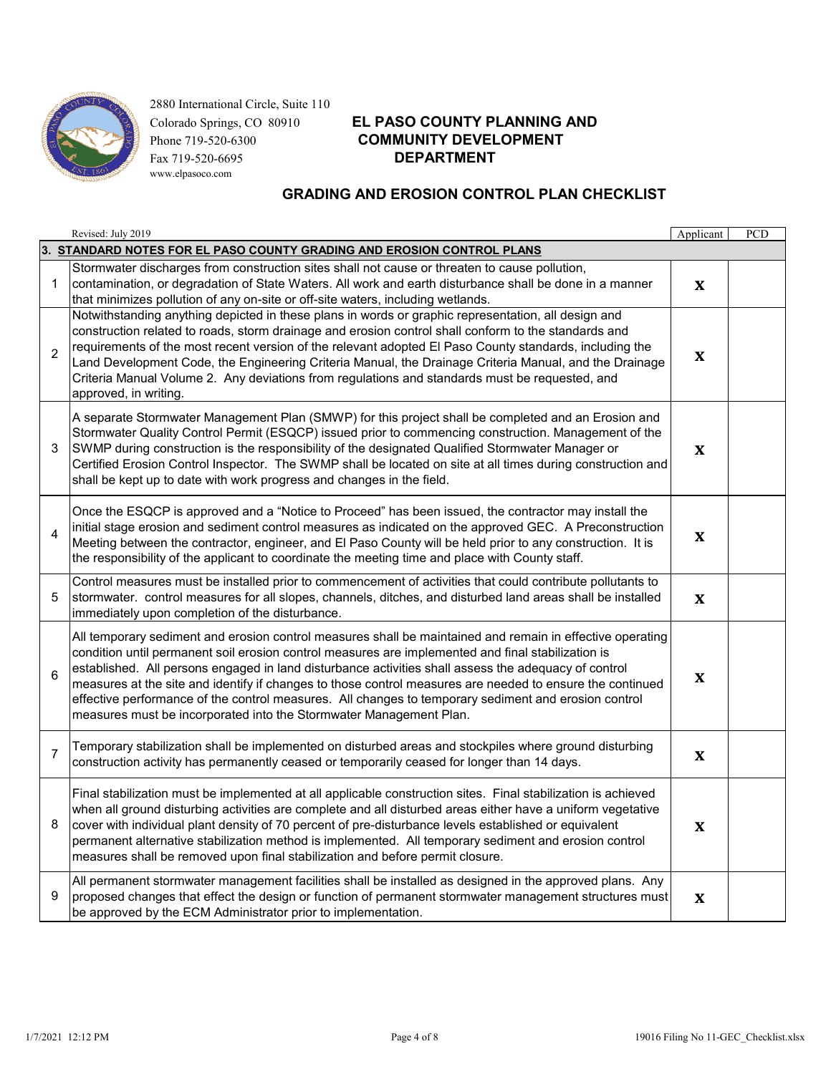

## Colorado Springs, CO 80910 **EL PASO COUNTY PLANNING AND** Phone 719-520-6300 **COMMUNITY DEVELOPMENT**

|                | Revised: July 2019                                                                                                                                                                                                                                                                                                                                                                                                                                                                                                                                                                                                 | Applicant                 | PCD |
|----------------|--------------------------------------------------------------------------------------------------------------------------------------------------------------------------------------------------------------------------------------------------------------------------------------------------------------------------------------------------------------------------------------------------------------------------------------------------------------------------------------------------------------------------------------------------------------------------------------------------------------------|---------------------------|-----|
|                | 3. STANDARD NOTES FOR EL PASO COUNTY GRADING AND EROSION CONTROL PLANS                                                                                                                                                                                                                                                                                                                                                                                                                                                                                                                                             |                           |     |
| $\mathbf 1$    | Stormwater discharges from construction sites shall not cause or threaten to cause pollution,<br>contamination, or degradation of State Waters. All work and earth disturbance shall be done in a manner<br>that minimizes pollution of any on-site or off-site waters, including wetlands.                                                                                                                                                                                                                                                                                                                        | $\boldsymbol{\mathrm{X}}$ |     |
| $\overline{2}$ | Notwithstanding anything depicted in these plans in words or graphic representation, all design and<br>construction related to roads, storm drainage and erosion control shall conform to the standards and<br>requirements of the most recent version of the relevant adopted El Paso County standards, including the<br>Land Development Code, the Engineering Criteria Manual, the Drainage Criteria Manual, and the Drainage<br>Criteria Manual Volume 2. Any deviations from regulations and standards must be requested, and<br>approved, in writing.                                                        | X                         |     |
| 3              | A separate Stormwater Management Plan (SMWP) for this project shall be completed and an Erosion and<br>Stormwater Quality Control Permit (ESQCP) issued prior to commencing construction. Management of the<br>SWMP during construction is the responsibility of the designated Qualified Stormwater Manager or<br>Certified Erosion Control Inspector. The SWMP shall be located on site at all times during construction and<br>shall be kept up to date with work progress and changes in the field.                                                                                                            | X                         |     |
| $\overline{4}$ | Once the ESQCP is approved and a "Notice to Proceed" has been issued, the contractor may install the<br>initial stage erosion and sediment control measures as indicated on the approved GEC. A Preconstruction<br>Meeting between the contractor, engineer, and El Paso County will be held prior to any construction. It is<br>the responsibility of the applicant to coordinate the meeting time and place with County staff.                                                                                                                                                                                   | $\boldsymbol{\mathrm{X}}$ |     |
| 5              | Control measures must be installed prior to commencement of activities that could contribute pollutants to<br>stormwater. control measures for all slopes, channels, ditches, and disturbed land areas shall be installed<br>immediately upon completion of the disturbance.                                                                                                                                                                                                                                                                                                                                       | $\boldsymbol{\mathrm{X}}$ |     |
| 6              | All temporary sediment and erosion control measures shall be maintained and remain in effective operating<br>condition until permanent soil erosion control measures are implemented and final stabilization is<br>established. All persons engaged in land disturbance activities shall assess the adequacy of control<br>measures at the site and identify if changes to those control measures are needed to ensure the continued<br>effective performance of the control measures. All changes to temporary sediment and erosion control<br>measures must be incorporated into the Stormwater Management Plan. | $\boldsymbol{\mathrm{X}}$ |     |
| $\overline{7}$ | Temporary stabilization shall be implemented on disturbed areas and stockpiles where ground disturbing<br>construction activity has permanently ceased or temporarily ceased for longer than 14 days.                                                                                                                                                                                                                                                                                                                                                                                                              | X                         |     |
| 8              | Final stabilization must be implemented at all applicable construction sites. Final stabilization is achieved<br>when all ground disturbing activities are complete and all disturbed areas either have a uniform vegetative<br>cover with individual plant density of 70 percent of pre-disturbance levels established or equivalent<br>permanent alternative stabilization method is implemented. All temporary sediment and erosion control<br>measures shall be removed upon final stabilization and before permit closure.                                                                                    | $\mathbf X$               |     |
| 9              | All permanent stormwater management facilities shall be installed as designed in the approved plans. Any<br>proposed changes that effect the design or function of permanent stormwater management structures must<br>be approved by the ECM Administrator prior to implementation.                                                                                                                                                                                                                                                                                                                                | $\boldsymbol{\mathrm{X}}$ |     |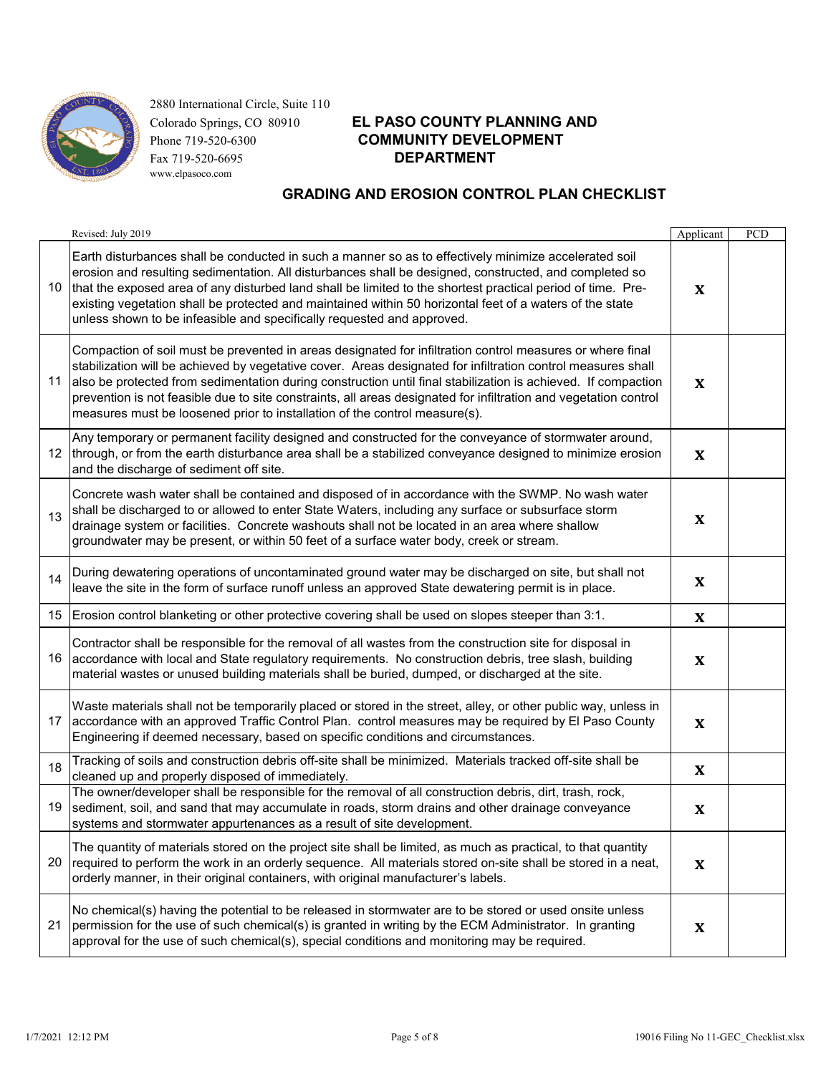

# Colorado Springs, CO 80910 **EL PASO COUNTY PLANNING AND** Phone 719-520-6300 **COMMUNITY DEVELOPMENT**

|    | Revised: July 2019                                                                                                                                                                                                                                                                                                                                                                                                                                                                                                                           | Applicant                 | PCD |
|----|----------------------------------------------------------------------------------------------------------------------------------------------------------------------------------------------------------------------------------------------------------------------------------------------------------------------------------------------------------------------------------------------------------------------------------------------------------------------------------------------------------------------------------------------|---------------------------|-----|
| 10 | Earth disturbances shall be conducted in such a manner so as to effectively minimize accelerated soil<br>erosion and resulting sedimentation. All disturbances shall be designed, constructed, and completed so<br>that the exposed area of any disturbed land shall be limited to the shortest practical period of time. Pre-<br>existing vegetation shall be protected and maintained within 50 horizontal feet of a waters of the state<br>unless shown to be infeasible and specifically requested and approved.                         | X                         |     |
| 11 | Compaction of soil must be prevented in areas designated for infiltration control measures or where final<br>stabilization will be achieved by vegetative cover. Areas designated for infiltration control measures shall<br>also be protected from sedimentation during construction until final stabilization is achieved. If compaction<br>prevention is not feasible due to site constraints, all areas designated for infiltration and vegetation control<br>measures must be loosened prior to installation of the control measure(s). | X                         |     |
|    | Any temporary or permanent facility designed and constructed for the conveyance of stormwater around,<br>12  through, or from the earth disturbance area shall be a stabilized conveyance designed to minimize erosion<br>and the discharge of sediment off site.                                                                                                                                                                                                                                                                            | $\mathbf{X}$              |     |
| 13 | Concrete wash water shall be contained and disposed of in accordance with the SWMP. No wash water<br>shall be discharged to or allowed to enter State Waters, including any surface or subsurface storm<br>drainage system or facilities. Concrete washouts shall not be located in an area where shallow<br>groundwater may be present, or within 50 feet of a surface water body, creek or stream.                                                                                                                                         | X                         |     |
| 14 | During dewatering operations of uncontaminated ground water may be discharged on site, but shall not<br>leave the site in the form of surface runoff unless an approved State dewatering permit is in place.                                                                                                                                                                                                                                                                                                                                 | X                         |     |
|    | 15   Erosion control blanketing or other protective covering shall be used on slopes steeper than 3:1.                                                                                                                                                                                                                                                                                                                                                                                                                                       | $\boldsymbol{\mathrm{X}}$ |     |
| 16 | Contractor shall be responsible for the removal of all wastes from the construction site for disposal in<br>accordance with local and State regulatory requirements. No construction debris, tree slash, building<br>material wastes or unused building materials shall be buried, dumped, or discharged at the site.                                                                                                                                                                                                                        | X                         |     |
| 17 | Waste materials shall not be temporarily placed or stored in the street, alley, or other public way, unless in<br>accordance with an approved Traffic Control Plan. control measures may be required by El Paso County<br>Engineering if deemed necessary, based on specific conditions and circumstances.                                                                                                                                                                                                                                   | $\boldsymbol{\mathrm{X}}$ |     |
| 18 | Tracking of soils and construction debris off-site shall be minimized. Materials tracked off-site shall be<br>cleaned up and properly disposed of immediately.                                                                                                                                                                                                                                                                                                                                                                               | $\mathbf{X}$              |     |
| 19 | The owner/developer shall be responsible for the removal of all construction debris, dirt, trash, rock,<br>sediment, soil, and sand that may accumulate in roads, storm drains and other drainage conveyance<br>systems and stormwater appurtenances as a result of site development.                                                                                                                                                                                                                                                        | $\boldsymbol{\mathrm{X}}$ |     |
| 20 | The quantity of materials stored on the project site shall be limited, as much as practical, to that quantity<br>required to perform the work in an orderly sequence. All materials stored on-site shall be stored in a neat,<br>orderly manner, in their original containers, with original manufacturer's labels.                                                                                                                                                                                                                          | $\mathbf x$               |     |
| 21 | No chemical(s) having the potential to be released in stormwater are to be stored or used onsite unless<br>permission for the use of such chemical(s) is granted in writing by the ECM Administrator. In granting<br>approval for the use of such chemical(s), special conditions and monitoring may be required.                                                                                                                                                                                                                            | X                         |     |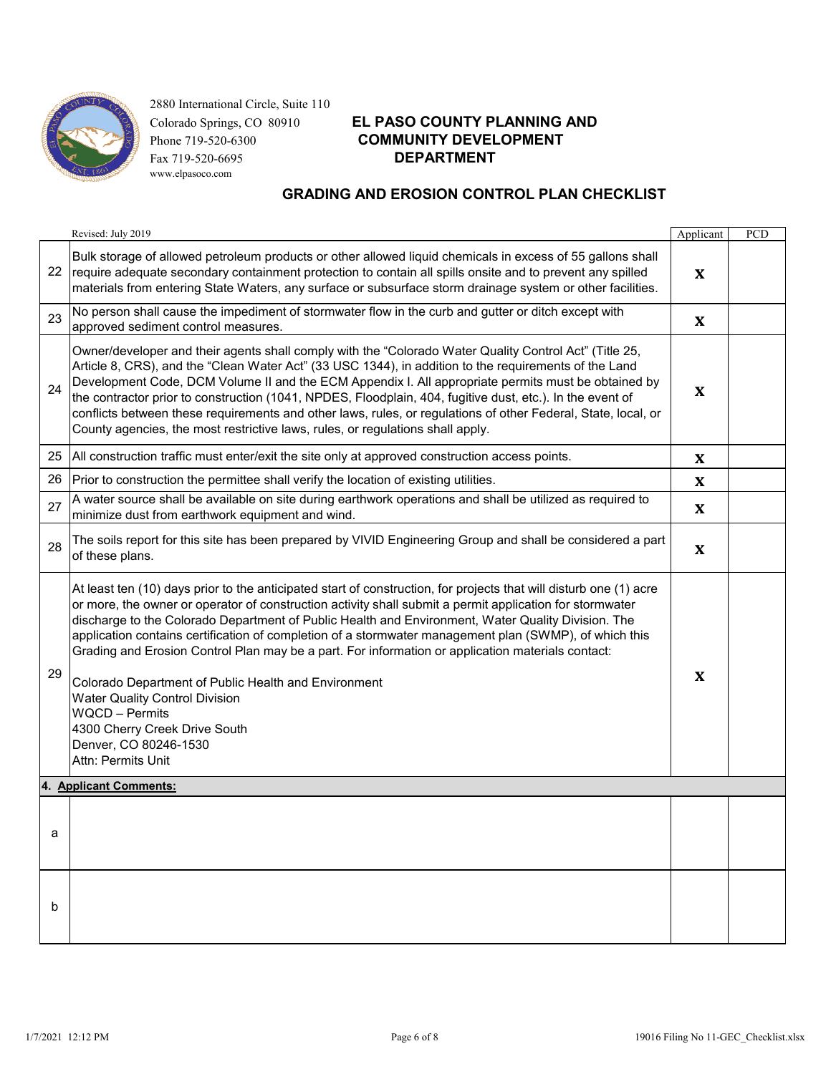

# Colorado Springs, CO 80910 **EL PASO COUNTY PLANNING AND** Phone 719-520-6300 **COMMUNITY DEVELOPMENT**

|    | Revised: July 2019                                                                                                                                                                                                                                                                                                                                                                                                                                                                                                                                                                                                                                                                                                                                            | Applicant    | PCD |
|----|---------------------------------------------------------------------------------------------------------------------------------------------------------------------------------------------------------------------------------------------------------------------------------------------------------------------------------------------------------------------------------------------------------------------------------------------------------------------------------------------------------------------------------------------------------------------------------------------------------------------------------------------------------------------------------------------------------------------------------------------------------------|--------------|-----|
| 22 | Bulk storage of allowed petroleum products or other allowed liquid chemicals in excess of 55 gallons shall<br>require adequate secondary containment protection to contain all spills onsite and to prevent any spilled<br>materials from entering State Waters, any surface or subsurface storm drainage system or other facilities.                                                                                                                                                                                                                                                                                                                                                                                                                         | $\mathbf X$  |     |
| 23 | No person shall cause the impediment of stormwater flow in the curb and gutter or ditch except with<br>approved sediment control measures.                                                                                                                                                                                                                                                                                                                                                                                                                                                                                                                                                                                                                    | X            |     |
| 24 | Owner/developer and their agents shall comply with the "Colorado Water Quality Control Act" (Title 25,<br>Article 8, CRS), and the "Clean Water Act" (33 USC 1344), in addition to the requirements of the Land<br>Development Code, DCM Volume II and the ECM Appendix I. All appropriate permits must be obtained by<br>the contractor prior to construction (1041, NPDES, Floodplain, 404, fugitive dust, etc.). In the event of<br>conflicts between these requirements and other laws, rules, or regulations of other Federal, State, local, or<br>County agencies, the most restrictive laws, rules, or regulations shall apply.                                                                                                                        | X            |     |
| 25 | All construction traffic must enter/exit the site only at approved construction access points.                                                                                                                                                                                                                                                                                                                                                                                                                                                                                                                                                                                                                                                                | $\mathbf{X}$ |     |
| 26 | Prior to construction the permittee shall verify the location of existing utilities.                                                                                                                                                                                                                                                                                                                                                                                                                                                                                                                                                                                                                                                                          | X            |     |
| 27 | A water source shall be available on site during earthwork operations and shall be utilized as required to<br>minimize dust from earthwork equipment and wind.                                                                                                                                                                                                                                                                                                                                                                                                                                                                                                                                                                                                | $\mathbf{X}$ |     |
| 28 | The soils report for this site has been prepared by VIVID Engineering Group and shall be considered a part<br>of these plans.                                                                                                                                                                                                                                                                                                                                                                                                                                                                                                                                                                                                                                 | $\mathbf{X}$ |     |
| 29 | At least ten (10) days prior to the anticipated start of construction, for projects that will disturb one (1) acre<br>or more, the owner or operator of construction activity shall submit a permit application for stormwater<br>discharge to the Colorado Department of Public Health and Environment, Water Quality Division. The<br>application contains certification of completion of a stormwater management plan (SWMP), of which this<br>Grading and Erosion Control Plan may be a part. For information or application materials contact:<br>Colorado Department of Public Health and Environment<br><b>Water Quality Control Division</b><br><b>WQCD - Permits</b><br>4300 Cherry Creek Drive South<br>Denver, CO 80246-1530<br>Attn: Permits Unit | X            |     |
|    | 4. Applicant Comments:                                                                                                                                                                                                                                                                                                                                                                                                                                                                                                                                                                                                                                                                                                                                        |              |     |
| a  |                                                                                                                                                                                                                                                                                                                                                                                                                                                                                                                                                                                                                                                                                                                                                               |              |     |
| b  |                                                                                                                                                                                                                                                                                                                                                                                                                                                                                                                                                                                                                                                                                                                                                               |              |     |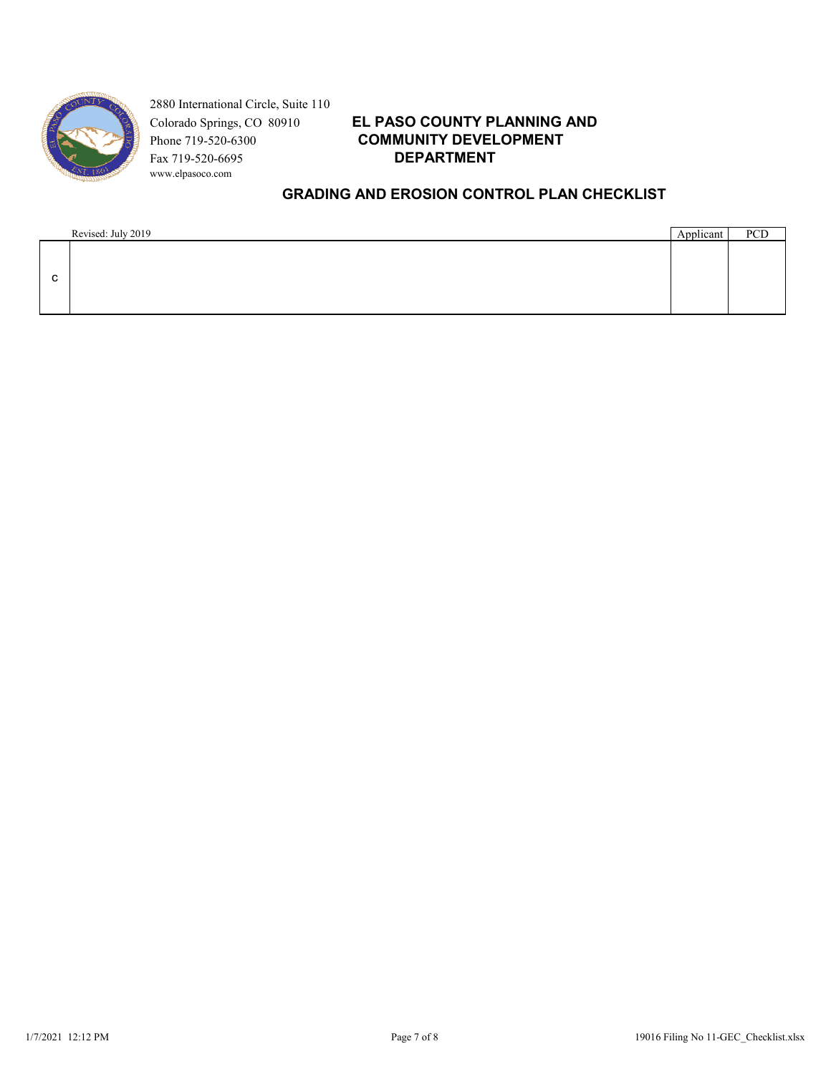

# Colorado Springs, CO 80910 **EL PASO COUNTY PLANNING AND** Phone 719-520-6300 **COMMUNITY DEVELOPMENT**

| Applicant          | PCD |
|--------------------|-----|
|                    |     |
|                    |     |
|                    |     |
|                    |     |
| Revised: July 2019 |     |